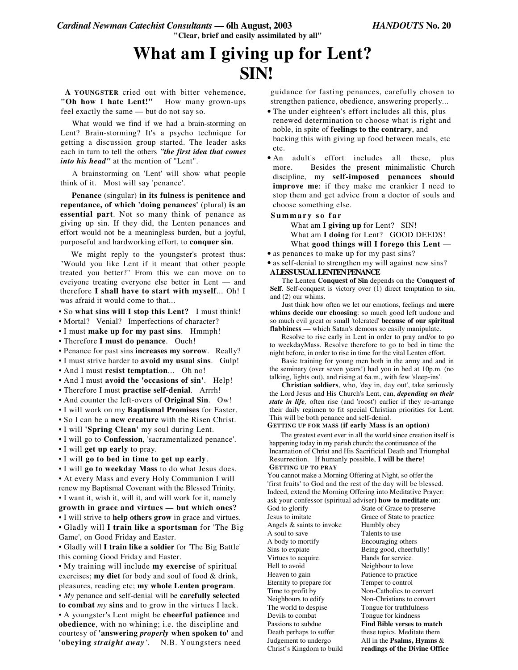# **What am I giving up for Lent? SIN!**

**A YOUNGSTER** cried out with bitter vehemence, **"Oh how I hate Lent!"** How many grown-ups feel exactly the same — but do not say so.

What would we find if we had a brain-storming on Lent? Brain-storming? It's a psycho technique for getting a discussion group started. The leader asks each in turn to tell the others *"the first idea that comes into his head"* at the mention of "Lent".

A brainstorming on 'Lent' will show what people think of it. Most will say 'penance'.

**Penance** (singular) **in its fulness is penitence and repentance, of which 'doing penances'** (plural) **is an essential part**. Not so many think of penance as giving up sin. If they did, the Lenten penances and effort would not be a meaningless burden, but a joyful, purposeful and hardworking effort, to **conquer sin**.

We might reply to the youngster's protest thus: "Would you like Lent if it meant that other people treated you better?" From this we can move on to eveiyone treating everyone else better in Lent — and therefore **I shall have to start with myself**... Oh! I was afraid it would come to that...

• So **what sins will I stop this Lent?** I must think!

- Mortal? Venial? Imperfections of character?
- I must **make up for my past sins**. Hmmph!
- Therefore **I must do penance**. Ouch!
- Penance for past sins **increases my sorrow**. Really?

• I must strive harder to **avoid my usual sins**. Gulp!

• And I must **resist temptation**... Oh no!

- And I must **avoid the 'occasions of sin'**. Help!
- Therefore I must **practise self-denial**. Arrrh!
- And counter the left-overs of **Original Sin**. Ow!
- I will work on my **Baptismal Promises** for Easter.

• So I can be a **new creature** with the Risen Christ.

• I will **'Spring Clean'** my soul during Lent.

• I will go to **Confession**, 'sacramentalized penance'.

- I will **get up early** to pray.
- I will **go to bed in time to get up early**.

• I will **go to weekday Mass** to do what Jesus does. • At every Mass and every Holy Communion I will renew my Baptismal Covenant with the Blessed Trinity. • I want it, wish it, will it, and will work for it, namely

- **growth in grace and virtues — but which ones?**
- I will strive to **help others grow** in grace and virtues.

• Gladly will **I train like a sportsman** for 'The Big Game', on Good Friday and Easter.

• Gladly will **I train like a soldier** for 'The Big Battle' this coming Good Friday and Easter.

• My training will include **my exercise** of spiritual exercises; **my diet** for body and soul of food & drink, pleasures, reading etc; **my whole Lenten program**. • *My* penance and self-denial will be **carefully selected to combat** *my* **sins** and to grow in the virtues I lack. • A youngster's Lent might be **cheerful patience** and **obedience**, with no whining; i.e. the discipline and courtesy of **'answering** *properly* **when spoken to'** and **'obeying** *straight away'.* N.B. Youngsters need

guidance for fasting penances, carefully chosen to strengthen patience, obedience, answering properly...

- The under eighteen's effort includes all this, plus renewed determination to choose what is right and noble, in spite of **feelings to the contrary**, and backing this with giving up food between meals, etc etc.
- An adult's effort includes all these, plus more. Besides the present minimalistic Church discipline, my **self-imposed penances should improve me**: if they make me crankier I need to stop them and get advice from a doctor of souls and choose something else.

#### **S u m m a r y s o f a r**

What am **I giving up** for Lent? SIN! What am **I doing** for Lent? GOOD DEEDS! What **good things will I forego this Lent** —

• as penances to make up for my past sins?

• as self-denial to strengthen my will against new sins? **ALESSUSUALLENTENPENANCE**

The Lenten **Conquest of Sin** depends on the **Conquest of Self**. Self-conquest is victory over (1) direct temptation to sin, and (2) our whims.

Just think how often we let our emotions, feelings and **mere whims decide our choosing**: so much good left undone and so much evil great or small 'tolerated' **because of our spiritual flabbiness** — which Satan's demons so easily manipulate.

Resolve to rise early in Lent in order to pray and/or to go to weekdayMass. Resolve therefore to go to bed in time the night before, in order to rise in time for the vital Lenten effort.

Basic training for young men both in the army and and in the seminary (over seven years!) had you in bed at 10p.m. (no talking, lights out), and rising at 6a.m., with few 'sleep-ins'.

**Christian soldiers**, who, 'day in, day out', take seriously the Lord Jesus and His Church's Lent, can, *depending on their state in life,* often rise (and 'roost') earlier if they re-arrange their daily regimen to fit special Christian priorities for Lent. This will be both penance and self-denial.

#### **GETTING UP FOR MASS (if early Mass is an option)**

The greatest event ever in all the world since creation itself is happening today in my parish church: the continuance of the Incarnation of Christ and His Sacrificial Death and Triumphal Resurrection. If humanly possible, **I will be there**! **GETTING UP TO PRAY**

You cannot make a Morning Offering at Night, so offer the 'first fruits' to God and the rest of the day will be blessed. Indeed, extend the Morning Offering into Meditative Prayer: ask your confessor (spiritual adviser**) how to meditate on**:

Jesus to imitate Grace of State to practice Angels & saints to invoke Humbly obey A soul to save Talents to use A body to mortify Encouraging others Sins to expiate Being good, cheerfully! Virtues to acquire Hands for service Hell to avoid Neighbour to love Heaven to gain Patience to practice Eternity to prepare for Temper to control Time to profit by Non-Catholics to convert Neighbours to edify Non-Christians to convert The world to despise Tongue for truthfulness Devils to combat Tongue for kindness Christ's Kingdom to build **readings of the Divine Office**

God to glorify State of Grace to preserve Passions to subdue **Find Bible verses to match** these topics. Meditate them Judgement to undergo All in the **Psalms, Hymns** &